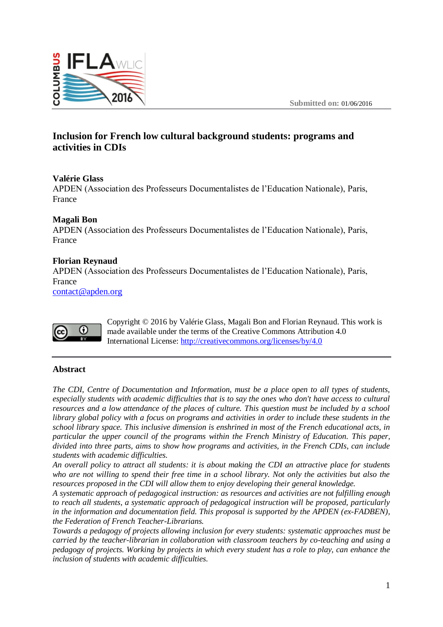

# **Inclusion for French low cultural background students: programs and activities in CDIs**

## **Valérie Glass**

APDEN (Association des Professeurs Documentalistes de l'Education Nationale), Paris, France

## **Magali Bon**

APDEN (Association des Professeurs Documentalistes de l'Education Nationale), Paris, France

## **Florian Reynaud**

APDEN (Association des Professeurs Documentalistes de l'Education Nationale), Paris, France

[contact@apden.org](mailto:contact@apden.org)



Copyright © 2016 by Valérie Glass, Magali Bon and Florian Reynaud. This work is made available under the terms of the Creative Commons Attribution 4.0 International License:<http://creativecommons.org/licenses/by/4.0>

#### **Abstract**

*The CDI, Centre of Documentation and Information, must be a place open to all types of students, especially students with academic difficulties that is to say the ones who don't have access to cultural resources and a low attendance of the places of culture. This question must be included by a school library global policy with a focus on programs and activities in order to include these students in the school library space. This inclusive dimension is enshrined in most of the French educational acts, in particular the upper council of the programs within the French Ministry of Education. This paper, divided into three parts, aims to show how programs and activities, in the French CDIs, can include students with academic difficulties.*

*An overall policy to attract all students: it is about making the CDI an attractive place for students who are not willing to spend their free time in a school library. Not only the activities but also the resources proposed in the CDI will allow them to enjoy developing their general knowledge.*

*A systematic approach of pedagogical instruction: as resources and activities are not fulfilling enough to reach all students, a systematic approach of pedagogical instruction will be proposed, particularly in the information and documentation field. This proposal is supported by the APDEN (ex-FADBEN), the Federation of French Teacher-Librarians.*

*Towards a pedagogy of projects allowing inclusion for every students: systematic approaches must be carried by the teacher-librarian in collaboration with classroom teachers by co-teaching and using a pedagogy of projects. Working by projects in which every student has a role to play, can enhance the inclusion of students with academic difficulties.*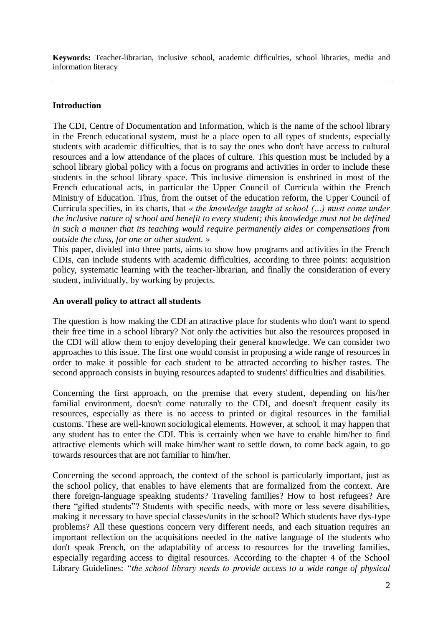**Keywords:** Teacher-librarian, inclusive school, academic difficulties, school libraries, media and information literacy

# **Introduction**

The CDI, Centre of Documentation and Information, which is the name of the school library in the French educational system, must be a place open to all types of students, especially students with academic difficulties, that is to say the ones who don't have access to cultural resources and a low attendance of the places of culture. This question must be included by a school library global policy with a focus on programs and activities in order to include these students in the school library space. This inclusive dimension is enshrined in most of the French educational acts, in particular the Upper Council of Curricula within the French Ministry of Education. Thus, from the outset of the education reform, the Upper Council of Curricula specifies, in its charts, that *« the knowledge taught at school (…) must come under the inclusive nature of school and benefit to every student; this knowledge must not be defined in such a manner that its teaching would require permanently aides or compensations from outside the class, for one or other student. »*

This paper, divided into three parts, aims to show how programs and activities in the French CDIs, can include students with academic difficulties, according to three points: acquisition policy, systematic learning with the teacher-librarian, and finally the consideration of every student, individually, by working by projects.

# **An overall policy to attract all students**

The question is how making the CDI an attractive place for students who don't want to spend their free time in a school library? Not only the activities but also the resources proposed in the CDI will allow them to enjoy developing their general knowledge. We can consider two approaches to this issue. The first one would consist in proposing a wide range of resources in order to make it possible for each student to be attracted according to his/her tastes. The second approach consists in buying resources adapted to students' difficulties and disabilities.

Concerning the first approach, on the premise that every student, depending on his/her familial environment, doesn't come naturally to the CDI, and doesn't frequent easily its resources, especially as there is no access to printed or digital resources in the familial customs. These are well-known sociological elements. However, at school, it may happen that any student has to enter the CDI. This is certainly when we have to enable him/her to find attractive elements which will make him/her want to settle down, to come back again, to go towards resources that are not familiar to him/her.

Concerning the second approach, the context of the school is particularly important, just as the school policy, that enables to have elements that are formalized from the context. Are there foreign-language speaking students? Traveling families? How to host refugees? Are there "gifted students"? Students with specific needs, with more or less severe disabilities, making it necessary to have special classes/units in the school? Which students have dys-type problems? All these questions concern very different needs, and each situation requires an important reflection on the acquisitions needed in the native language of the students who don't speak French, on the adaptability of access to resources for the traveling families, especially regarding access to digital resources. According to the chapter 4 of the School Library Guidelines: *"the school library needs to provide access to a wide range of physical*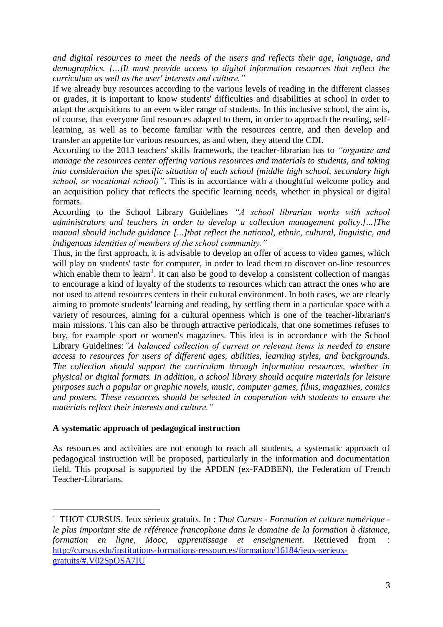*and digital resources to meet the needs of the users and reflects their age, language, and demographics. [...]It must provide access to digital information resources that reflect the curriculum as well as the user' interests and culture."*

If we already buy resources according to the various levels of reading in the different classes or grades, it is important to know students' difficulties and disabilities at school in order to adapt the acquisitions to an even wider range of students. In this inclusive school, the aim is, of course, that everyone find resources adapted to them, in order to approach the reading, selflearning, as well as to become familiar with the resources centre, and then develop and transfer an appetite for various resources, as and when, they attend the CDI.

According to the 2013 teachers' skills framework, the teacher-librarian has to *"organize and manage the resources center offering various resources and materials to students, and taking into consideration the specific situation of each school (middle high school, secondary high school, or vocational school)"*. This is in accordance with a thoughtful welcome policy and an acquisition policy that reflects the specific learning needs, whether in physical or digital formats.

According to the School Library Guidelines *"A school librarian works with school administrators and teachers in order to develop a collection management policy.[...]The manual should include guidance [...]that reflect the national, ethnic, cultural, linguistic, and indigenous identities of members of the school community."*

Thus, in the first approach, it is advisable to develop an offer of access to video games, which will play on students' taste for computer, in order to lead them to discover on-line resources which enable them to learn<sup>1</sup>. It can also be good to develop a consistent collection of mangas to encourage a kind of loyalty of the students to resources which can attract the ones who are not used to attend resources centers in their cultural environment. In both cases, we are clearly aiming to promote students' learning and reading, by settling them in a particular space with a variety of resources, aiming for a cultural openness which is one of the teacher-librarian's main missions. This can also be through attractive periodicals, that one sometimes refuses to buy, for example sport or women's magazines. This idea is in accordance with the School Library Guidelines:*"A balanced collection of current or relevant items is needed to ensure access to resources for users of different ages, abilities, learning styles, and backgrounds. The collection should support the curriculum through information resources, whether in physical or digital formats. In addition, a school library should acquire materials for leisure purposes such a popular or graphic novels, music, computer games, films, magazines, comics and posters. These resources should be selected in cooperation with students to ensure the materials reflect their interests and culture."*

# **A systematic approach of pedagogical instruction**

1

As resources and activities are not enough to reach all students, a systematic approach of pedagogical instruction will be proposed, particularly in the information and documentation field. This proposal is supported by the APDEN (ex-FADBEN), the Federation of French Teacher-Librarians.

<sup>1</sup> THOT CURSUS. Jeux sérieux gratuits. In : *Thot Cursus - Formation et culture numérique le plus important site de référence francophone dans le domaine de la formation à distance, formation en ligne, Mooc, apprentissage et enseignement*. Retrieved from : [http://cursus.edu/institutions-formations-ressources/formation/16184/jeux-serieux](http://cursus.edu/institutions-formations-ressources/formation/16184/jeux-serieux-gratuits/#.V02SpOSA7IU)[gratuits/#.V02SpOSA7IU](http://cursus.edu/institutions-formations-ressources/formation/16184/jeux-serieux-gratuits/#.V02SpOSA7IU)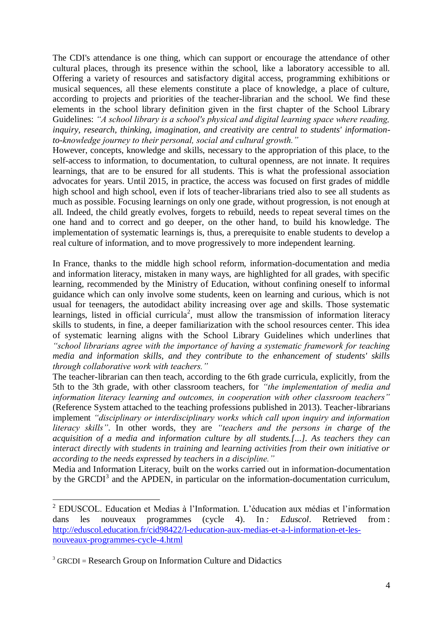The CDI's attendance is one thing, which can support or encourage the attendance of other cultural places, through its presence within the school, like a laboratory accessible to all. Offering a variety of resources and satisfactory digital access, programming exhibitions or musical sequences, all these elements constitute a place of knowledge, a place of culture, according to projects and priorities of the teacher-librarian and the school. We find these elements in the school library definition given in the first chapter of the School Library Guidelines: *"A school library is a school's physical and digital learning space where reading, inquiry, research, thinking, imagination, and creativity are central to students' informationto-knowledge journey to their personal, social and cultural growth."*

However, concepts, knowledge and skills, necessary to the appropriation of this place, to the self-access to information, to documentation, to cultural openness, are not innate. It requires learnings, that are to be ensured for all students. This is what the professional association advocates for years. Until 2015, in practice, the access was focused on first grades of middle high school and high school, even if lots of teacher-librarians tried also to see all students as much as possible. Focusing learnings on only one grade, without progression, is not enough at all. Indeed, the child greatly evolves, forgets to rebuild, needs to repeat several times on the one hand and to correct and go deeper, on the other hand, to build his knowledge. The implementation of systematic learnings is, thus, a prerequisite to enable students to develop a real culture of information, and to move progressively to more independent learning.

In France, thanks to the middle high school reform, information-documentation and media and information literacy, mistaken in many ways, are highlighted for all grades, with specific learning, recommended by the Ministry of Education, without confining oneself to informal guidance which can only involve some students, keen on learning and curious, which is not usual for teenagers, the autodidact ability increasing over age and skills. Those systematic learnings, listed in official curricula<sup>2</sup>, must allow the transmission of information literacy skills to students, in fine, a deeper familiarization with the school resources center. This idea of systematic learning aligns with the School Library Guidelines which underlines that *"school librarians agree with the importance of having a systematic framework for teaching media and information skills, and they contribute to the enhancement of students' skills through collaborative work with teachers."*

The teacher-librarian can then teach, according to the 6th grade curricula, explicitly, from the 5th to the 3th grade, with other classroom teachers, for *"the implementation of media and information literacy learning and outcomes, in cooperation with other classroom teachers"* (Reference System attached to the teaching professions published in 2013). Teacher-librarians implement *"disciplinary or interdisciplinary works which call upon inquiry and information literacy skills"*. In other words, they are *"teachers and the persons in charge of the acquisition of a media and information culture by all students.[...]. As teachers they can interact directly with students in training and learning activities from their own initiative or according to the needs expressed by teachers in a discipline."*

Media and Information Literacy, built on the works carried out in information-documentation by the GRCDI<sup>3</sup> and the APDEN, in particular on the information-documentation curriculum,

<u>.</u>

<sup>&</sup>lt;sup>2</sup> EDUSCOL. Education et Medias à l'Information. L'éducation aux médias et l'information dans les nouveaux programmes (cycle 4). In *: Eduscol*. Retrieved from : [http://eduscol.education.fr/cid98422/l-education-aux-medias-et-a-l-information-et-les](http://eduscol.education.fr/cid98422/l-education-aux-medias-et-a-l-information-et-les-nouveaux-programmes-cycle-4.html)[nouveaux-programmes-cycle-4.html](http://eduscol.education.fr/cid98422/l-education-aux-medias-et-a-l-information-et-les-nouveaux-programmes-cycle-4.html)

 $3$  GRCDI = Research Group on Information Culture and Didactics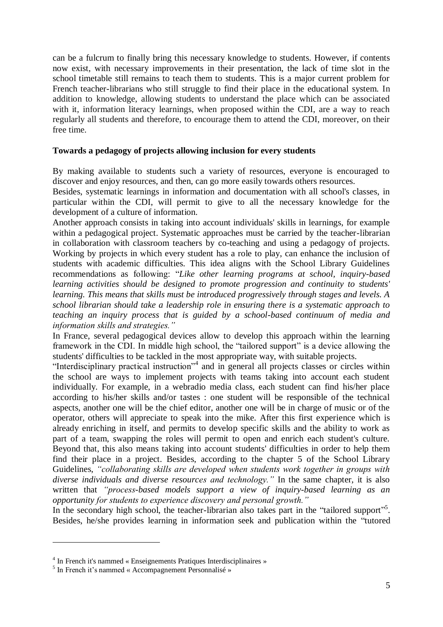can be a fulcrum to finally bring this necessary knowledge to students. However, if contents now exist, with necessary improvements in their presentation, the lack of time slot in the school timetable still remains to teach them to students. This is a major current problem for French teacher-librarians who still struggle to find their place in the educational system. In addition to knowledge, allowing students to understand the place which can be associated with it, information literacy learnings, when proposed within the CDI, are a way to reach regularly all students and therefore, to encourage them to attend the CDI, moreover, on their free time.

#### **Towards a pedagogy of projects allowing inclusion for every students**

By making available to students such a variety of resources, everyone is encouraged to discover and enjoy resources, and then, can go more easily towards others resources.

Besides, systematic learnings in information and documentation with all school's classes, in particular within the CDI, will permit to give to all the necessary knowledge for the development of a culture of information.

Another approach consists in taking into account individuals' skills in learnings, for example within a pedagogical project. Systematic approaches must be carried by the teacher-librarian in collaboration with classroom teachers by co-teaching and using a pedagogy of projects. Working by projects in which every student has a role to play, can enhance the inclusion of students with academic difficulties. This idea aligns with the School Library Guidelines recommendations as following: "*Like other learning programs at school, inquiry-based learning activities should be designed to promote progression and continuity to students' learning. This means that skills must be introduced progressively through stages and levels. A school librarian should take a leadership role in ensuring there is a systematic approach to teaching an inquiry process that is guided by a school-based continuum of media and information skills and strategies."*

In France, several pedagogical devices allow to develop this approach within the learning framework in the CDI. In middle high school, the "tailored support" is a device allowing the students' difficulties to be tackled in the most appropriate way, with suitable projects.

"Interdisciplinary practical instruction"<sup>4</sup> and in general all projects classes or circles within the school are ways to implement projects with teams taking into account each student individually. For example, in a webradio media class, each student can find his/her place according to his/her skills and/or tastes : one student will be responsible of the technical aspects, another one will be the chief editor, another one will be in charge of music or of the operator, others will appreciate to speak into the mike. After this first experience which is already enriching in itself, and permits to develop specific skills and the ability to work as part of a team, swapping the roles will permit to open and enrich each student's culture. Beyond that, this also means taking into account students' difficulties in order to help them find their place in a project. Besides, according to the chapter 5 of the School Library Guidelines, *"collaborating skills are developed when students work together in groups with diverse individuals and diverse resources and technology."* In the same chapter, it is also written that *"process-based models support a view of inquiry-based learning as an opportunity for students to experience discovery and personal growth."*

In the secondary high school, the teacher-librarian also takes part in the "tailored support"<sup>5</sup>. Besides, he/she provides learning in information seek and publication within the "tutored

1

<sup>&</sup>lt;sup>4</sup> In French it's nammed « Enseignements Pratiques Interdisciplinaires »

<sup>&</sup>lt;sup>5</sup> In French it's nammed « Accompagnement Personnalisé »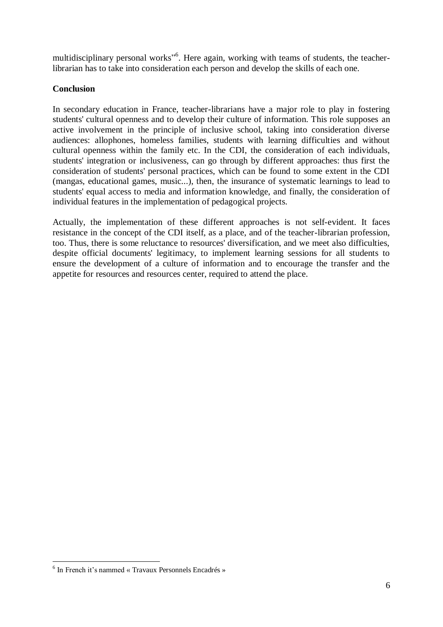multidisciplinary personal works"<sup>6</sup>. Here again, working with teams of students, the teacherlibrarian has to take into consideration each person and develop the skills of each one.

# **Conclusion**

In secondary education in France, teacher-librarians have a major role to play in fostering students' cultural openness and to develop their culture of information. This role supposes an active involvement in the principle of inclusive school, taking into consideration diverse audiences: allophones, homeless families, students with learning difficulties and without cultural openness within the family etc. In the CDI, the consideration of each individuals, students' integration or inclusiveness, can go through by different approaches: thus first the consideration of students' personal practices, which can be found to some extent in the CDI (mangas, educational games, music...), then, the insurance of systematic learnings to lead to students' equal access to media and information knowledge, and finally, the consideration of individual features in the implementation of pedagogical projects.

Actually, the implementation of these different approaches is not self-evident. It faces resistance in the concept of the CDI itself, as a place, and of the teacher-librarian profession, too. Thus, there is some reluctance to resources' diversification, and we meet also difficulties, despite official documents' legitimacy, to implement learning sessions for all students to ensure the development of a culture of information and to encourage the transfer and the appetite for resources and resources center, required to attend the place.

1

<sup>6</sup> In French it's nammed « Travaux Personnels Encadrés »